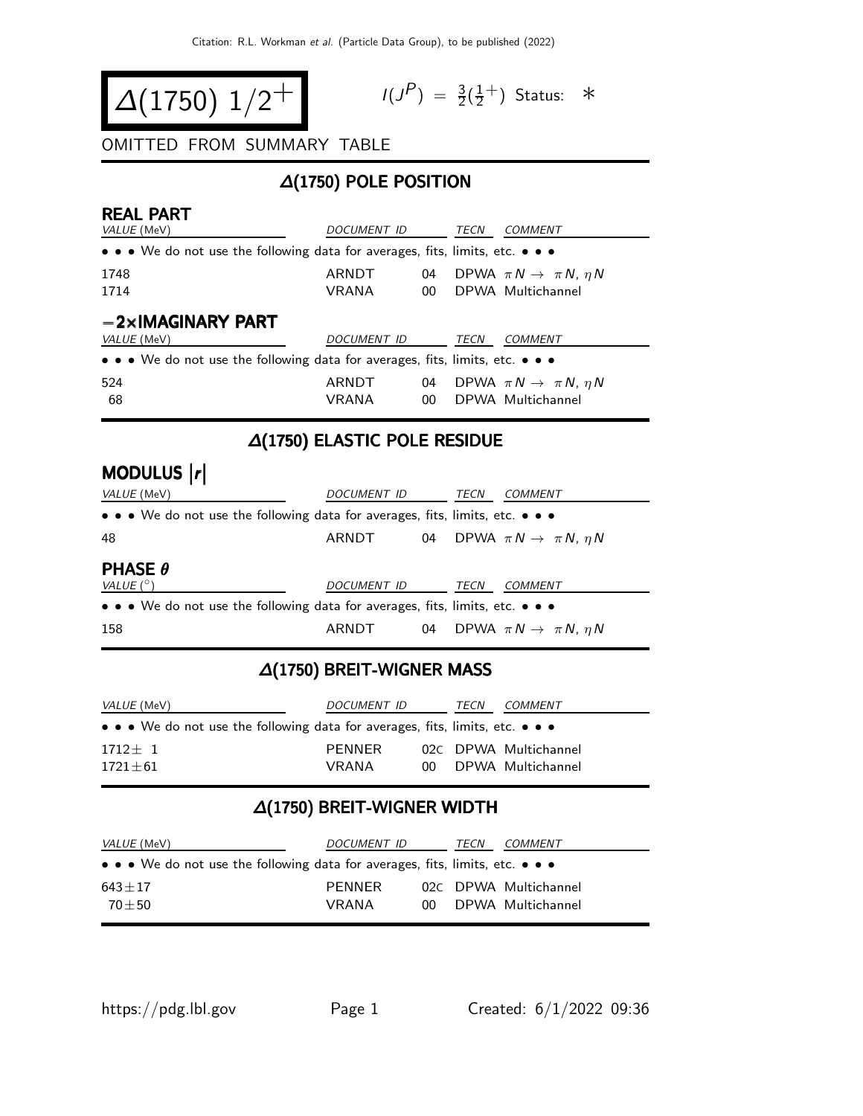$$
\Delta(1750) 1/2^+
$$

$$
I(J^P) = \frac{3}{2}(\frac{1}{2}^+)
$$
 Status:  $*$ 

#### OMITTED FROM SUMMARY TABLE

# ∆(1750) POLE POSITION

| <b>REAL PART</b>                                                                                                      |                    |    |      |                                           |  |  |  |
|-----------------------------------------------------------------------------------------------------------------------|--------------------|----|------|-------------------------------------------|--|--|--|
| VALUE (MeV)                                                                                                           | <i>DOCUMENT ID</i> |    | TECN | COMMENT                                   |  |  |  |
| • • • We do not use the following data for averages, fits, limits, etc. • • •                                         |                    |    |      |                                           |  |  |  |
| 1748                                                                                                                  | ARNDT              | 04 |      | DPWA $\pi N \rightarrow \pi N$ , $\eta N$ |  |  |  |
| 1714                                                                                                                  | VRANA              | 00 |      | DPWA Multichannel                         |  |  |  |
| $-2\times$ IMAGINARY PART                                                                                             |                    |    |      |                                           |  |  |  |
| <i>VALUE</i> (MeV)                                                                                                    | <i>DOCUMENT ID</i> |    | TECN | COMMENT                                   |  |  |  |
| $\bullet \bullet \bullet$ We do not use the following data for averages, fits, limits, etc. $\bullet \bullet \bullet$ |                    |    |      |                                           |  |  |  |
| 524                                                                                                                   | ARNDT              | 04 |      | DPWA $\pi N \rightarrow \pi N$ , $\eta N$ |  |  |  |
| 68                                                                                                                    | VRANA              | 00 |      | DPWA Multichannel                         |  |  |  |
| ALIZEAN EL ACTIC DOLE DECIDILE                                                                                        |                    |    |      |                                           |  |  |  |

### ∆(1750) ELASTIC POLE RESIDUE

# MODULUS  $|r|$ VALUE (MeV) DOCUMENT ID TECN COMMENT

| VALUE (IVIEV)                                                                 | <i>DOCUMENT ID</i> |    | LEC  | COMMENT                                   |
|-------------------------------------------------------------------------------|--------------------|----|------|-------------------------------------------|
| • • • We do not use the following data for averages, fits, limits, etc. • • • |                    |    |      |                                           |
| 48                                                                            | ARNDT              | 04 |      | DPWA $\pi N \rightarrow \pi N$ , $\eta N$ |
| <b>PHASE <math>\theta</math></b><br>VALUE $(^\circ)$                          | DOCUMENT ID        |    | TECN | COMMENT                                   |
| • • • We do not use the following data for averages, fits, limits, etc. • • • |                    |    |      |                                           |
| 158                                                                           | ARNDT              | 04 |      | DPWA $\pi N \rightarrow \pi N$ , $\eta N$ |

# ∆(1750) BREIT-WIGNER MASS

| <i>VALUE</i> (MeV)                                                                                                    | DOCUMENT ID<br>TECN |  |  | <i>COMMENT</i>        |
|-----------------------------------------------------------------------------------------------------------------------|---------------------|--|--|-----------------------|
| $\bullet \bullet \bullet$ We do not use the following data for averages, fits, limits, etc. $\bullet \bullet \bullet$ |                     |  |  |                       |
| $1712 + 1$                                                                                                            | PFNNFR              |  |  | 02C DPWA Multichannel |
| $1721 + 61$                                                                                                           | <b>VRANA</b>        |  |  | 00 DPWA Multichannel  |

## ∆(1750) BREIT-WIGNER WIDTH

| <i>VALUE</i> (MeV)                                                                                                    | <i>DOCUMENT ID</i>     |  | TECN | <i>COMMENT</i>                                |
|-----------------------------------------------------------------------------------------------------------------------|------------------------|--|------|-----------------------------------------------|
| $\bullet \bullet \bullet$ We do not use the following data for averages, fits, limits, etc. $\bullet \bullet \bullet$ |                        |  |      |                                               |
| $643 + 17$<br>$70 + 50$                                                                                               | PFNNFR<br><b>VRANA</b> |  |      | 02C DPWA Multichannel<br>00 DPWA Multichannel |